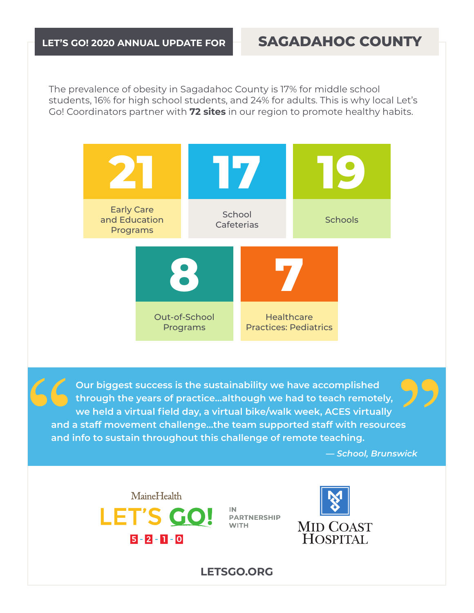## **LET'S GO! 2020 ANNUAL UPDATE FOR SAGADAHOC COUNTY**

The prevalence of obesity in Sagadahoc County is 17% for middle school students, 16% for high school students, and 24% for adults. This is why local Let's Go! Coordinators partner with **72 sites** in our region to promote healthy habits.



**Our biggest success is the sustainability we have accomplished through the years of practice…although we had to teach remotely, we held a virtual field day, a virtual bike/walk week, ACES virtually and a staff movement challenge…the team supported staff with resources and info to sustain throughout this challenge of remote teaching.** 

*— School, Brunswick*



IN. **PARTNERSHIP WITH** 



**LETSGO.ORG**